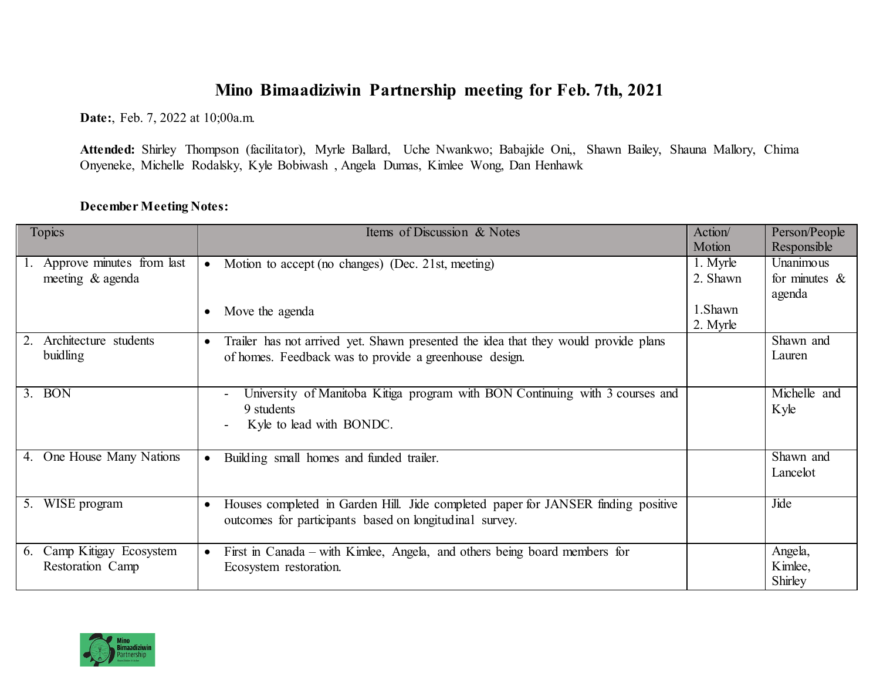## **Mino Bimaadiziwin Partnership meeting for Feb. 7th, 2021**

**Date:**, Feb. 7, 2022 at 10;00a.m.

**Attended:** Shirley Thompson (facilitator), Myrle Ballard, Uche Nwankwo; Babajide Oni,, Shawn Bailey, Shauna Mallory, Chima Onyeneke, Michelle Rodalsky, Kyle Bobiwash , Angela Dumas, Kimlee Wong, Dan Henhawk

## **December Meeting Notes:**

| Topics                       | Items of Discussion & Notes                                                         | Action/  | Person/People    |
|------------------------------|-------------------------------------------------------------------------------------|----------|------------------|
|                              |                                                                                     | Motion   | Responsible      |
| Approve minutes from last    | Motion to accept (no changes) (Dec. 21st, meeting)<br>$\bullet$                     | 1. Myrle | Unanimous        |
| meeting & agenda             |                                                                                     | 2. Shawn | for minutes $\&$ |
|                              |                                                                                     |          | agenda           |
|                              | Move the agenda                                                                     | 1.Shawn  |                  |
|                              |                                                                                     | 2. Myrle |                  |
| Architecture students        | Trailer has not arrived yet. Shawn presented the idea that they would provide plans |          | Shawn and        |
| buidling                     | of homes. Feedback was to provide a greenhouse design.                              |          | Lauren           |
|                              |                                                                                     |          |                  |
| <b>BON</b><br>3.             | University of Manitoba Kitiga program with BON Continuing with 3 courses and        |          | Michelle and     |
|                              | 9 students                                                                          |          | Kyle             |
|                              | Kyle to lead with BONDC.                                                            |          |                  |
|                              |                                                                                     |          |                  |
| One House Many Nations<br>4. | Building small homes and funded trailer.                                            |          | Shawn and        |
|                              |                                                                                     |          | Lancelot         |
|                              |                                                                                     |          |                  |
| 5. WISE program              | Houses completed in Garden Hill. Jide completed paper for JANSER finding positive   |          | Jide             |
|                              | outcomes for participants based on longitudinal survey.                             |          |                  |
|                              |                                                                                     |          |                  |
| Camp Kitigay Ecosystem<br>6. | First in Canada – with Kimlee, Angela, and others being board members for           |          | Angela,          |
| Restoration Camp             | Ecosystem restoration.                                                              |          | Kimlee,          |
|                              |                                                                                     |          | Shirley          |